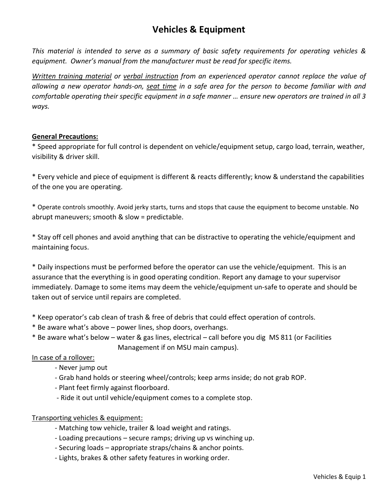# **Vehicles & Equipment**

*This material is intended to serve as a summary of basic safety requirements for operating vehicles & equipment. Owner's manual from the manufacturer must be read for specific items.* 

*Written training material or verbal instruction from an experienced operator cannot replace the value of allowing a new operator hands-on, seat time in a safe area for the person to become familiar with and comfortable operating their specific equipment in a safe manner … ensure new operators are trained in all 3 ways.*

#### **General Precautions:**

\* Speed appropriate for full control is dependent on vehicle/equipment setup, cargo load, terrain, weather, visibility & driver skill.

\* Every vehicle and piece of equipment is different & reacts differently; know & understand the capabilities of the one you are operating.

\* Operate controls smoothly. Avoid jerky starts, turns and stops that cause the equipment to become unstable. No abrupt maneuvers; smooth & slow = predictable.

\* Stay off cell phones and avoid anything that can be distractive to operating the vehicle/equipment and maintaining focus.

\* Daily inspections must be performed before the operator can use the vehicle/equipment. This is an assurance that the everything is in good operating condition. Report any damage to your supervisor immediately. Damage to some items may deem the vehicle/equipment un-safe to operate and should be taken out of service until repairs are completed.

\* Keep operator's cab clean of trash & free of debris that could effect operation of controls.

- \* Be aware what's above power lines, shop doors, overhangs.
- \* Be aware what's below water & gas lines, electrical call before you dig MS 811 (or Facilities Management if on MSU main campus).

## In case of a rollover:

- Never jump out
- Grab hand holds or steering wheel/controls; keep arms inside; do not grab ROP.
- Plant feet firmly against floorboard.
- Ride it out until vehicle/equipment comes to a complete stop.

## Transporting vehicles & equipment:

- Matching tow vehicle, trailer & load weight and ratings.
- Loading precautions secure ramps; driving up vs winching up.
- Securing loads appropriate straps/chains & anchor points.
- Lights, brakes & other safety features in working order.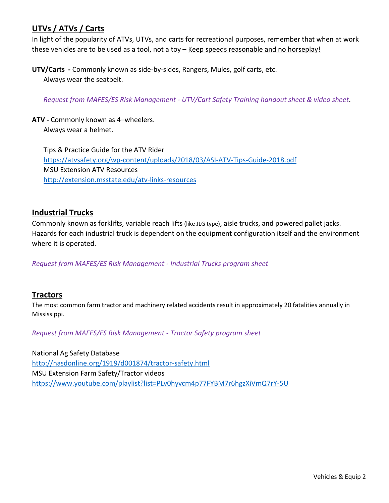# **UTVs / ATVs / Carts**

In light of the popularity of ATVs, UTVs, and carts for recreational purposes, remember that when at work these vehicles are to be used as a tool, not a toy – Keep speeds reasonable and no horseplay!

**UTV/Carts -** Commonly known as side-by-sides, Rangers, Mules, golf carts, etc. Always wear the seatbelt.

*Request from MAFES/ES Risk Management - UTV/Cart Safety Training handout sheet & video sheet*.

**ATV -** Commonly known as 4–wheelers. Always wear a helmet.

Tips & Practice Guide for the ATV Rider <https://atvsafety.org/wp-content/uploads/2018/03/ASI-ATV-Tips-Guide-2018.pdf> MSU Extension ATV Resources <http://extension.msstate.edu/atv-links-resources>

# **Industrial Trucks**

Commonly known as forklifts, variable reach lifts (like JLG type), aisle trucks, and powered pallet jacks. Hazards for each industrial truck is dependent on the equipment configuration itself and the environment where it is operated.

*Request from MAFES/ES Risk Management - Industrial Trucks program sheet*

# **Tractors**

The most common farm tractor and machinery related accidents result in approximately 20 fatalities annually in Mississippi.

*Request from MAFES/ES Risk Management - Tractor Safety program sheet*

National Ag Safety Database <http://nasdonline.org/1919/d001874/tractor-safety.html> MSU Extension Farm Safety/Tractor videos <https://www.youtube.com/playlist?list=PLv0hyvcm4p77FYBM7r6hgzXiVmQ7rY-5U>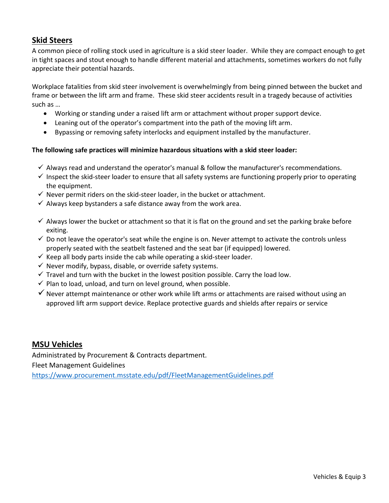## **Skid Steers**

A common piece of rolling stock used in agriculture is a skid steer loader. While they are compact enough to get in tight spaces and stout enough to handle different material and attachments, sometimes workers do not fully appreciate their potential hazards.

Workplace fatalities from skid steer involvement is overwhelmingly from being pinned between the bucket and frame or between the lift arm and frame. These skid steer accidents result in a tragedy because of activities such as …

- Working or standing under a raised lift arm or attachment without proper support device.
- Leaning out of the operator's compartment into the path of the moving lift arm.
- Bypassing or removing safety interlocks and equipment installed by the manufacturer.

#### **The following safe practices will minimize hazardous situations with a skid steer loader:**

- $\checkmark$  Always read and understand the operator's manual & follow the manufacturer's recommendations.
- $\checkmark$  Inspect the skid-steer loader to ensure that all safety systems are functioning properly prior to operating the equipment.
- $\checkmark$  Never permit riders on the skid-steer loader, in the bucket or attachment.
- $\checkmark$  Always keep bystanders a safe distance away from the work area.
- $\checkmark$  Always lower the bucket or attachment so that it is flat on the ground and set the parking brake before exiting.
- $\checkmark$  Do not leave the operator's seat while the engine is on. Never attempt to activate the controls unless properly seated with the seatbelt fastened and the seat bar (if equipped) lowered.
- $\checkmark$  Keep all body parts inside the cab while operating a skid-steer loader.
- $\checkmark$  Never modify, bypass, disable, or override safety systems.
- $\checkmark$  Travel and turn with the bucket in the lowest position possible. Carry the load low.
- $\checkmark$  Plan to load, unload, and turn on level ground, when possible.
- $\checkmark$  Never attempt maintenance or other work while lift arms or attachments are raised without using an approved lift arm support device. Replace protective guards and shields after repairs or service

## **MSU Vehicles**

Administrated by Procurement & Contracts department.

Fleet Management Guidelines

<https://www.procurement.msstate.edu/pdf/FleetManagementGuidelines.pdf>